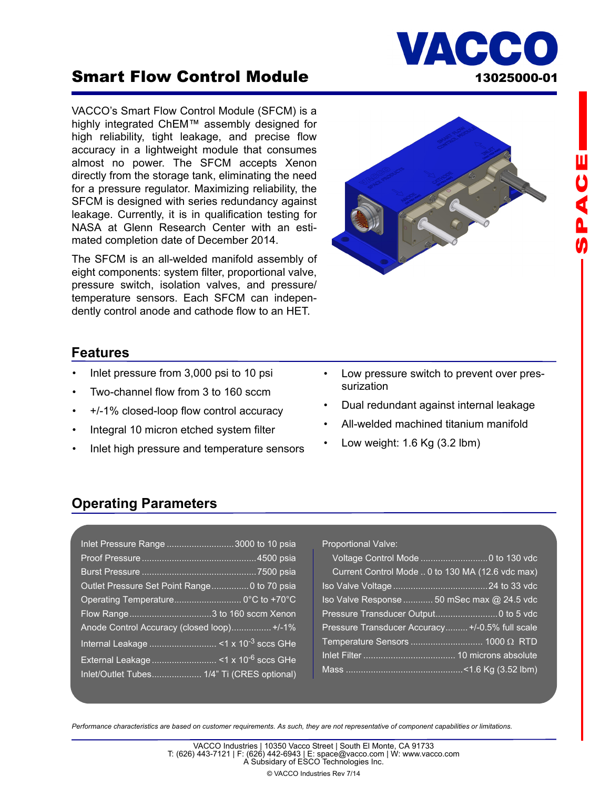# Smart Flow Control Module 13025000-01

VACCO's Smart Flow Control Module (SFCM) is a highly integrated ChEM™ assembly designed for high reliability, tight leakage, and precise flow accuracy in a lightweight module that consumes almost no power. The SFCM accepts Xenon directly from the storage tank, eliminating the need for a pressure regulator. Maximizing reliability, the SFCM is designed with series redundancy against leakage. Currently, it is in qualification testing for NASA at Glenn Research Center with an estimated completion date of December 2014.

The SFCM is an all-welded manifold assembly of eight components: system filter, proportional valve, pressure switch, isolation valves, and pressure/ temperature sensors. Each SFCM can independently control anode and cathode flow to an HET.

## **Features**

- Inlet pressure from 3,000 psi to 10 psi
- Two-channel flow from 3 to 160 sccm
- +/-1% closed-loop flow control accuracy
- Integral 10 micron etched system filter
- Inlet high pressure and temperature sensors
- Low pressure switch to prevent over pressurization

**IACC** 

- Dual redundant against internal leakage
- All-welded machined titanium manifold
- Low weight: 1.6 Kg (3.2 lbm)

## **Operating Parameters**

| Inlet Pressure Range  3000 to 10 psia       |
|---------------------------------------------|
|                                             |
|                                             |
| Outlet Pressure Set Point Range0 to 70 psia |
| Operating Temperature 0°C to +70°C          |
|                                             |
| Flow Range3 to 160 sccm Xenon               |
| Anode Control Accuracy (closed loop) +/-1%  |
|                                             |
|                                             |

| Proportional Valve: |  |
|---------------------|--|
|---------------------|--|

| Current Control Mode  0 to 130 MA (12.6 vdc max) |  |
|--------------------------------------------------|--|
|                                                  |  |
| Iso Valve Response  50 mSec max @ 24.5 vdc       |  |
|                                                  |  |
| Pressure Transducer Accuracy +/-0.5% full scale  |  |
|                                                  |  |
|                                                  |  |
|                                                  |  |

*Performance characteristics are based on customer requirements. As such, they are not representative of component capabilities or limitations.*